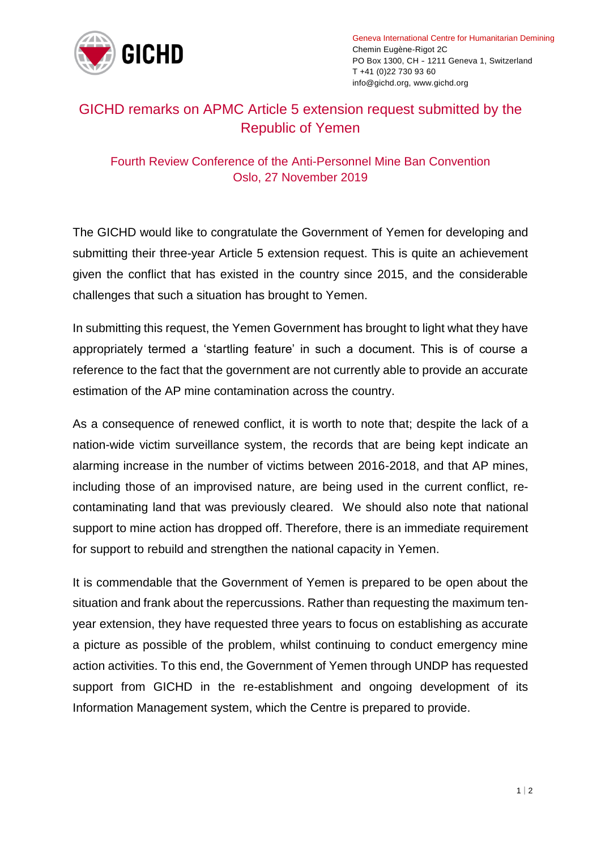

Geneva International Centre for Humanitarian Demining Chemin Eugène-Rigot 2C PO Box 1300, CH - 1211 Geneva 1, Switzerland T +41 (0)22 730 93 60 info@gichd.org, www.gichd.org

## GICHD remarks on APMC Article 5 extension request submitted by the Republic of Yemen

## Fourth Review Conference of the Anti-Personnel Mine Ban Convention Oslo, 27 November 2019

The GICHD would like to congratulate the Government of Yemen for developing and submitting their three-year Article 5 extension request. This is quite an achievement given the conflict that has existed in the country since 2015, and the considerable challenges that such a situation has brought to Yemen.

In submitting this request, the Yemen Government has brought to light what they have appropriately termed a 'startling feature' in such a document. This is of course a reference to the fact that the government are not currently able to provide an accurate estimation of the AP mine contamination across the country.

As a consequence of renewed conflict, it is worth to note that; despite the lack of a nation-wide victim surveillance system, the records that are being kept indicate an alarming increase in the number of victims between 2016-2018, and that AP mines, including those of an improvised nature, are being used in the current conflict, recontaminating land that was previously cleared. We should also note that national support to mine action has dropped off. Therefore, there is an immediate requirement for support to rebuild and strengthen the national capacity in Yemen.

It is commendable that the Government of Yemen is prepared to be open about the situation and frank about the repercussions. Rather than requesting the maximum tenyear extension, they have requested three years to focus on establishing as accurate a picture as possible of the problem, whilst continuing to conduct emergency mine action activities. To this end, the Government of Yemen through UNDP has requested support from GICHD in the re-establishment and ongoing development of its Information Management system, which the Centre is prepared to provide.